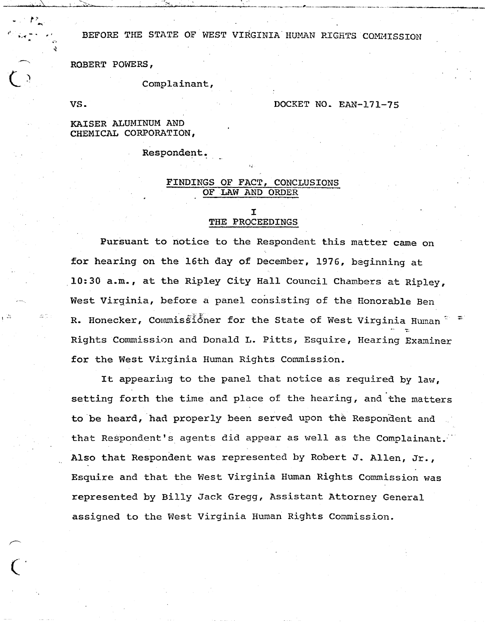BEFORE THE STATE OF WEST VIRGINIA HUMAN RIGHTS COMMISSION

ROBERT POWERS,

Complainant,

VS.

 $\overline{\mathsf{C}}$ 

#### DOCKET NO. EAN-171-75

## KAISER ALUMINUM AND CHEMICAL CORPORATION,

Respondent.

## FINDINGS OF FACT, CONCLUSIONS OF LAW AND ORDER

#### I THE PROCEEDINGS

Pursuant to notice to the Respondent this matter came on for hearing on the 16th day of December, 1976, beginning at 10:30 a.m., at the Ripley City Hall Council Chambers at Ripley, West Virginia, before a panel consisting of the Honorable Ben R. Honecker, Commissioner for the State of West Virginia Human  $\tilde{a}$ . Rights Commission and Donald L. Pitts, Esquire, Hearing Examiner for the West Virginia Human Rights Commission.

It appearing to the panel that notice as required by law. setting forth the time and place of the hearing, and the matters to be heard, had properly been served upon the Respondent and that Respondent's agents did appear as well as the Complainant. Also that Respondent was represented by Robert J. Allen, Jr., Esquire and that the West Virginia Human Rights Commission was represented by Billy Jack Gregg, Assistant Attorney Generalassigned to the West Virginia Human Rights Commission.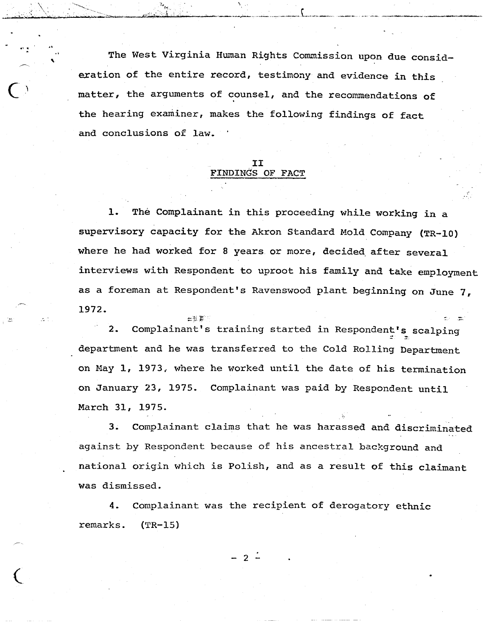The West Virginia Human Rights Commission upon due consideration of the entire record, testimony and evidence in this matter, the arguments of counsel, and the recommendations of the hearing examiner, makes the following findings of fact and conclusions of law.

# II FINDINGS OF FACT

The Complainant in this proceeding while working in a  $1.$ supervisory capacity for the Akron Standard Mold Company (TR-10) where he had worked for 8 years or more, decided after several interviews with Respondent to uproot his family and take employment as a foreman at Respondent's Ravenswood plant beginning on June 7. 1972.

Complainant's training started in Respondent's scalping  $2.$ department and he was transferred to the Cold Rolling Department on May 1, 1973, where he worked until the date of his termination on January 23, 1975. Complainant was paid by Respondent until March 31, 1975.

Complainant claims that he was harassed and discriminated 3. against by Respondent because of his ancestral background and national origin which is Polish, and as a result of this claimant was dismissed.

Complainant was the recipient of derogatory ethnic 4. remarks.  $(TR-15)$ 

 $-2$   $-$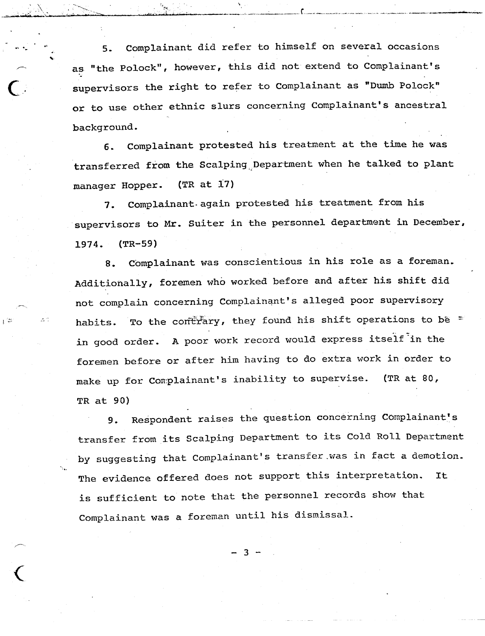Complainant did refer to himself on several occasions  $5.$ as "the Polock", however, this did not extend to Complainant's supervisors the right to refer to Complainant as "Dumb Polock" or to use other ethnic slurs concerning Complainant's ancestral background.

Complainant protested his treatment at the time he was  $6.$ transferred from the Scalping Department when he talked to plant  $(TR at 17)$ manager Hopper.

Complainant again protested his treatment from his 7. supervisors to Mr. Suiter in the personnel department in December, 1974.  $(TR-59)$ 

Complainant was conscientious in his role as a foreman. 8. Additionally, foremen who worked before and after his shift did not complain concerning Complainant's alleged poor supervisory To the contrary, they found his shift operations to be  $=$ habits. A poor work record would express itself in the in good order. foremen before or after him having to do extra work in order to make up for Complainant's inability to supervise.  $(TR at 80,$ TR at 90)

Respondent raises the question concerning Complainant's 9. transfer from its Scalping Department to its Cold Roll Department by suggesting that Complainant's transfer was in fact a demotion. The evidence offered does not support this interpretation. **It** is sufficient to note that the personnel records show that Complainant was a foreman until his dismissal.

ર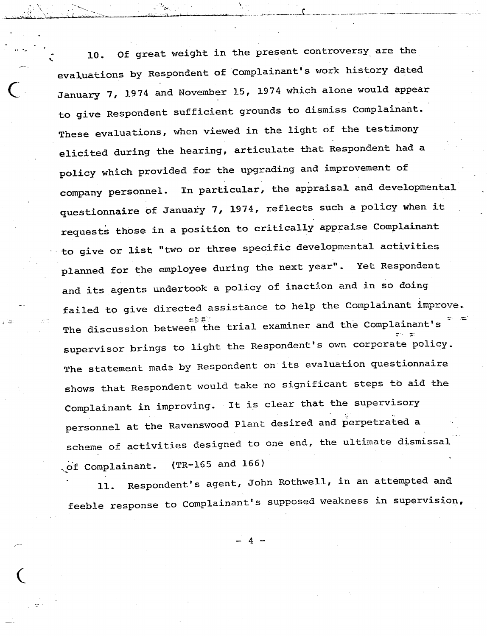Of great weight in the present controversy are the 10. evaluations by Respondent of Complainant's work history dated January 7, 1974 and November 15, 1974 which alone would appear to give Respondent sufficient grounds to dismiss Complainant. These evaluations, when viewed in the light of the testimony elicited during the hearing, articulate that Respondent had a policy which provided for the upgrading and improvement of company personnel. In particular, the appraisal and developmental questionnaire of January 7, 1974, reflects such a policy when it requests those in a position to critically appraise Complainant to give or list "two or three specific developmental activities planned for the employee during the next year". Yet Respondent and its agents undertook a policy of inaction and in so doing failed to give directed assistance to help the Complainant improve. *::;:;1. ~-.* The discussion between the trial examiner and the Complainant's supervisor brings to light the Respondent's own corporate policy. The statement made by Respondent on its evaluation questionnaire shows that Respondent would take no significant steps to aid the Complainant in improving. It is clear that the supervisory personnel at the Ravenswood Plant desired and perpetrated a scheme of activities designed to one end, the ultimate dismissal  $(TR-165$  and  $166)$ .of Complainant.

, where  $\mathcal{L}_\text{c}$ 

 $\sim$ 

I"~';'- ·~i~...--...\_,\_.\_\_ ~.''~"..;..,\_~

*..-~\_.•~'L~'~~-=';* ow'

Respondent's agent, John Rothwell, in an attempted and 11. feeble response to Complainant's supposed weakness in supervision,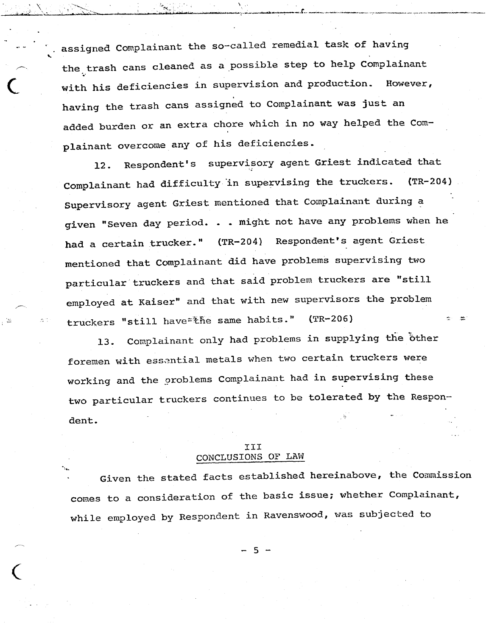assigned Complainant the so-called remedial task of having the trash cans cleaned as a possible step to help Complainant with his deficiencies in supervision and production. However, . aving the trash cans assigned to Complainant was just an added burden or an extra chore which in no way helped the Complainant overcome any of his deficiencies.

 $\frac{1}{2}$ j. ,a: .~.;. . •••...'

 $\begin{pmatrix} 1 \\ 1 \\ 1 \end{pmatrix}$ 

. <sup>&</sup>gt;'--.- \ ....,-" •...<sup>~</sup> '

Respondent's supervisory agent Griest indicated that  $12.$ Complainant had difficulty in supervising the truckers.  $(TR-204)$ Supervisory agent Griest mentioned that Complainant during a given "Seven day period. . . might not have any problems when he had a certain trucker." (TR-204) Respondent's agent Griest mentioned that Complainant did have problems supervising two particular truckers and that said problem truckers are "still employed at Kaiser" and that with new supervisors the problem truckers "still have=the same habits." (TR-206)

Complainant only had problems in supplying the other 13. foremen with essential metals when two certain truckers were working and the oroblems Complainant had in supervising these two particular truckers continues to be tolerated by the Respondent.

# III CONCLUSIONS OF LAW

Given the stated facts established hereinabove, the Commission comes to a consideration of the basic issue; whether Complainant, while employed by Respondent in Ravenswood, was subjected to

 $-5 -$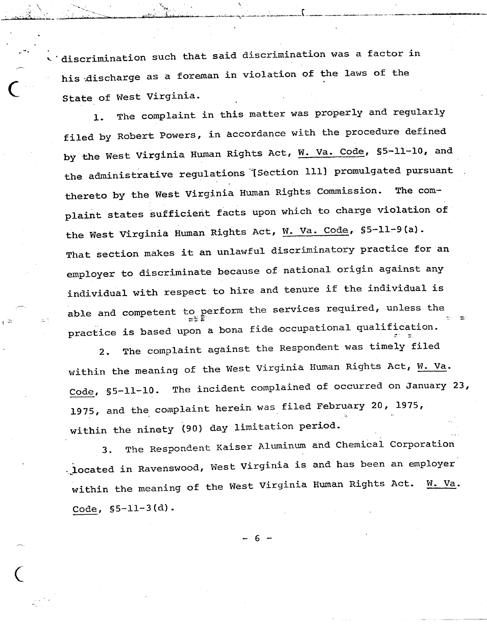.<br>A discrimination such that said discrimination was a factor in his discharge as a foreman in violation of the laws of the State of West Virginia.

-'. 4':"-~;':"'·" *:·)','ii:* '~~"'\_:'!"',. ·-:--J',""-'.:. •.-......'''''"'i .••..··--- •.\_·'''''· .•..•.-,•.:•.•...\_···,\_· -~ ••\_(\_ ..~.,\_\_ .. ~\_..••...\_\_ .\_,,\_.. - \_- .. --". .,\_ ...~\_\_ .,,\_,."""'"' ..~<C'T1'.

.<br>. .. ~"'!

 $\mathbf{v}$  $\mathbb{Z}_+$  .  $\mathbb{Z}_+$  ,  $\mathbb{Z}_+$ 

c<br>California<br>c

1. The complaint in this matter was properly and regularly filed by Robert Powers, in accordance with the procedure defined by the West Virginia Human Rights Act, W. Va. Code, S5-11-10, and the administrative regulations [Section 111] promulgated pursuant thereto by the West Virginia Human Rights Commission. The complaint states sufficient facts upon which to charge violation of the West Virginia Human Rights Act, W. Va. Code, §5-11-9(a). That section makes it an unlawful discriminatory practice for an employer to discriminate because of national origin against any individual with respect to hire and tenure if the individual is able and competent to perform the services required, unless the :- ..-. - practice is based upon a bona fide occupational qualification.

The complaint against the Respondent was timely filed  $2.$ within the meaning of the West Virginia Human Rights Act, W. Va. Code, §5-ll-l0. The incident complained of occurred on January 23, 1975, and the complaint herein was filed February 20, 1975, within the ninety (90) day limitation period.

3. The Respondent Kaiser Aluminum and Chemical Corporation . located in Ravenswood, West Virginia is and has been an employer within the meaning of the West Virginia Human Rights Act. W. Va. Code, §5-1l-3(d).

6.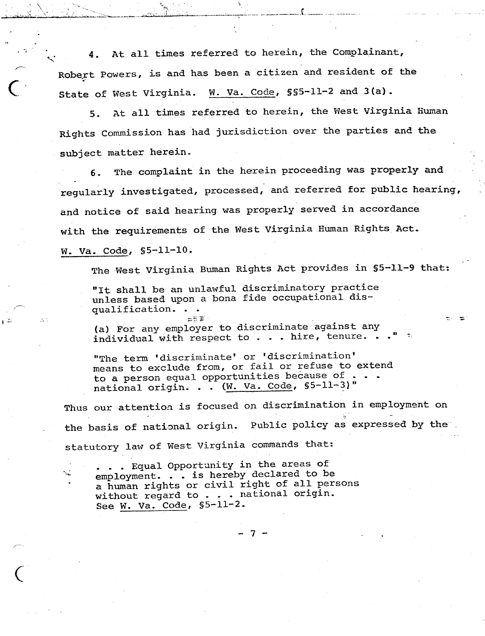At all times referred to herein, the Complainant, 4. Robert Powers, is and has been a citizen and resident of the State of West Virginia. W. Va. Code, \$\$5-11-2 and 3(a).

::'..,; . ., Of " •• ', ' •• ¥,.. ..•... - ~~ \_\_ .. *...i~..••~':.:' '~~ •..\_\_ ,\_, \_' '\_.. ;:.-~.;,~\_\_ ~.•..\_~ ,••...••..• \_\_ ..•\_\_*.,(> ,\_\_ ~,~ *\_T' ••••..• ~~'~ \_\_ •. <sup>~</sup> •. '" .•• ~\_.*

 $\bar{\chi}$  :

ъ.

.-", ..;:..•. ,~

r<br>C'

5. At all times referred to herein, the West Virginia Human Rights Commission has had jurisdiction over the parties and the subject matter herein.

The complaint in the herein proceeding was properly and  $6.$ . . regularly investigated, processed, and referred for public hearing, and notice of said hearing was properly served in accordance with the requirements of the West Virginia Human Rights Act. W. Va. Code, \$5-11-10.

The West Virginia Buman Rights Act provides in \$5-11-9 that:

"It shall be an unlawful discriminatory practice unless based upon a bona fide occupational disqualification. . •

 $\Xi \lesssim \Xi'$ (a) For any employer to discriminate against any individual with respect to  $\cdots$  hire, tenure.

"The term 'discriminate' or 'discrimination' means to exclude from, or fail or refuse to extend to a person equal opportunities because of . national origin. . .  $(W. Va. Code, S5-11-3)$ "

Thus our attention is focused on discrimination in employment on the basis of national origin. Public policy as expressed by the statutory law of West Virginia commands that:

- 7 -

• Equal Opportunity in the areas of employment. . . is hereby declared to be a human rights or civil right of all persons without regard to . . . national origin. See w. Va. Code, §5-1l-2.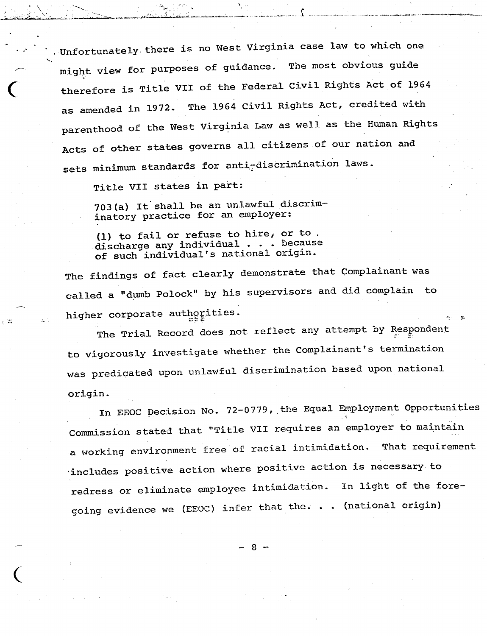Unfortunately there is no West Virginia case law to which one might view for purposes of guidance. The most obvious guide therefore is Title VII of the Federal Civil Rights Act of 1964 as amended in 1972. The 1964 Civil Rights Act, credited with parenthood of the West Virginia Law as well as the Human Rights Acts of other states governs all citizens of our nation and sets minimum standards for anti-discrimination laws.

Title VII states in part:

703(a) It shall be an unlawful discriminatory practice for an employer:

(1) to fail or refuse to hire, or to. discharge any individual . . . because of such individual's national origin.

The findings of fact clearly demonstrate that Complainant was called a "dumb Polock" by his supervisors and did complain to higher corporate authorities.

The Trial Record does not reflect any attempt by Respondent to vigorously investigate whether the Complainant's termination was predicated upon unlawful discrimination based upon national origin.

In EEOC Decision No. 72-0779, the Equal Employment Opportunities Commission stated that "Title VII requires an employer to maintain a working environment free of racial intimidation. That requirement includes positive action where positive action is necessary to redress or eliminate employee intimidation. In light of the foregoing evidence we (EEOC) infer that the. . . (national origin)

- 8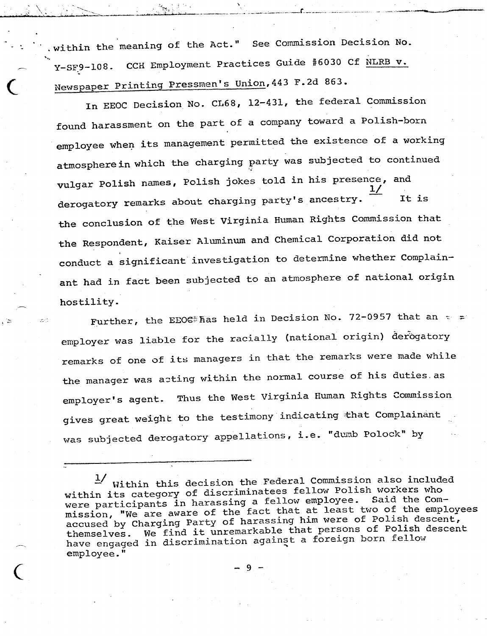within the meaning of the Act." See Commission Decision No. Y-SF9-108. CCH Employment Practices Guide #6030 Cf NLRB v. Newspaper Printing Pressmen's Union, 443 F.2d 863.

---~..,;.~~ •••• - ~. --, ..,~ ..>o",.\_" .•\_:-.4".\_~:" \_\_ .\_••.. \_ \_\_ r\_\_-,~ ~\_, .

*'''t:~'"'*

 $\sqrt{\frac{1}{n}}$ <sup>d</sup> :-,,'> ••\ ..

> In EEOC Decision No. CL68, 12-431, the federal Commission found harassment on the part of a company toward a Polish-born employee when its management permitted the existence of a working atmosphere in which the charging party was subjected to continued vulgar Polish names, Polish jokes told in his presence, and  $\frac{1}{1}$ derogatory remarks about charging party's ancestry.  $\overline{\phantom{a}}$  It is the conclusion of the West Virginia Human Rights Commission that the Respondent, Kaiser Aluminum and Chemical Corporation did not conduct a significant investigation to determine whether Complainant had in fact been subjected to an atmosphere of national origin hostility.

Further, the EEOE#has held in Decision No. 72-0957 that an  $\sim$  = employer was liable for the racially (national origin) derogatory remarks of one of its managers in that the remarks were made while the manager was acting within the normal course of his duties as employer's agent. Thus the West Virginia Human Rights Commission gives great weight to the testimony indicating that Complainant was subjected derogatory appellations, i.e. "dumb Polock" by

 $\frac{1}{2}$  Within this decision the Federal Commission also included within its category of discriminatees fellow Polish workers who were participants in harassing a fellow employee. Said the Commission, "We are aware of the fact that at least two of the employees accused by Charging Party of harassing him were of Polish descent, themselves. We find it unremarkable that persons of Polish descent themserves. We find it different that it is foreign born fellow nave engaged in discrimination again,

-9.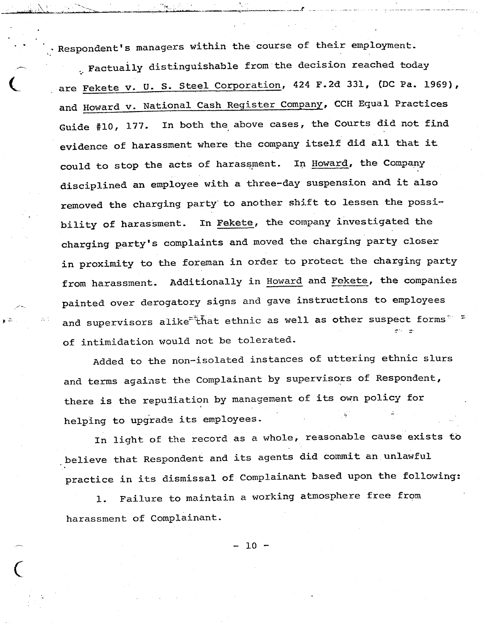. Respondent's managers within the course of their employment.

. Factually distinguishable from the decision reached today are Fekete v. U. S. Steel Corporation, 424 F.2d 331, (DC Pa. 1969), and Howard v. National Cash Register Company, CCH Equal Practices Guide #10, 177. In both the above cases, the Courts did not find evidence of harassment where the company itself did all that it could to stop the acts of harassment. In Howard, the Company disciplined an employee with a three-day suspension and it also removed the charging party' to another shift to lessen the possibility of harassment. In Fekete, the company investigated the charging party's complaints and moved the charging party closer in proximity to the foreman in order to protect the charging party from harassment. Additionally in Howard and Fekete, the companies painted over derogatory signs and gave instructions to employees and supervisors alike<sup>=+</sup>that ethnic as well as other suspect forms<sup> $\sim$ =</sup> of intimidation would not be tolerated.

Added to the non-isolated instances of uttering ethnic slurs and terms against the Complainant by supervisors of Respondent, there is the repudiation by management of its own policy for helping to upgrade its employees.

In light of the record as a whole, reasonable cause exists to believe that Respondent and its agents did commit an unlawful practice in its dismissal of Complainant based upon the following:

1. Failure to maintain a working atmosphere free fromharassment of Complainant.

 $10<sup>°</sup>$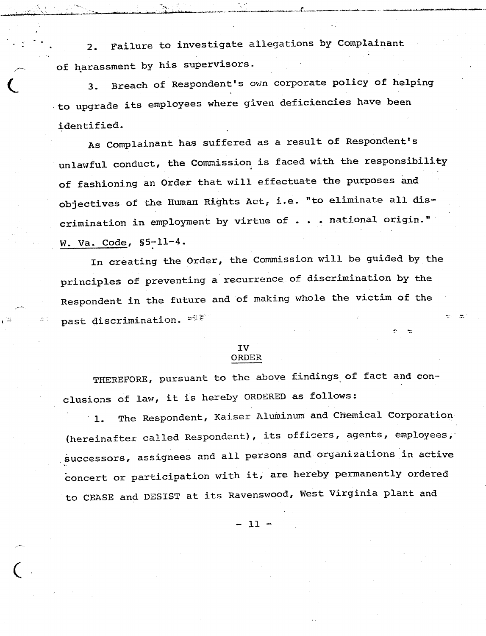Failure to investigate allegations by Complainant  $2.$ of harassment by his supervisors.

 $\mathcal{L} = \mathcal{L} \left( \mathcal{L} \right) \mathcal{L} \left( \mathcal{L} \right)$ ,<u>.,,,,,,,,,,,,,,,,,,,,,,,,,,,,,,,,</u>

 $\begin{matrix} \begin{matrix} 1 \\ 1 \end{matrix} \end{matrix}$ 

3. Breach of Respondent's own corporate policy of helping to upgrade its employees where given deficiencies have been identified.

As Complainant has suffered as a result of Respondent's unlawful conduct, the Commission is faced with the responsibility of fashioning an Order that will effectuate the purposes and objectives of the Human Rights Act, i.e. "to eliminate all discrimination in employment by virtue of . . . national origin." w. va. Code, \$5-11-4.

In creating the Order, the Commission will be guided by the principles of preventing a recurrence of discrimination by the Respondent in the future and of making whole the victim of the past discrimination.  $=$   $\frac{1}{2}$   $\frac{1}{2}$ 

## IV ORDER

THEREFORE, pursuant to the above findings. of fact and conclusions of law, it is hereby ORDERED as follows:

1. The Respondent, Kaiser Aluminum and Chemical Corporation (hereinafter called Respondent), its officers, agents, employees, .successors, assignees and all persons and organizations 'in active concert or participation with it, are hereby permanently ordered to CEASE and DESIST at its Ravenswood, West Virginia plant and

- 11 -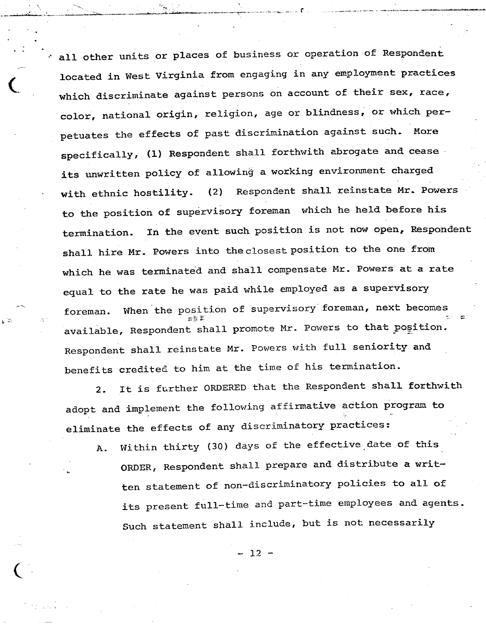all other units or places of business or operation of Respondent located in West Virginia from engaging in any employment practices which discriminate against persons on account of their sex, race, color, national origin, religion, age or blindness, or which perpetuates the effects of past discrimination against such. More specifically, (1) Respondent shall forthwith abrogate and cease its unwritten policy of allowing a working environment charged Respondent shall reinstate Mr. Powers with ethnic hostility.  $(2)$ to the position of supervisory foreman which he held before his In the event such position is not now open, Respondent termination. shall hire Mr. Powers into the closest position to the one from which he was terminated and shall compensate Mr. Powers at a rate equal to the rate he was paid while employed as a supervisory When the position of supervisory foreman, next becomes foreman. available, Respondent shall promote Mr. Powers to that position. Respondent shall reinstate Mr. Powers with full seniority and benefits credited to him at the time of his termination.

It is further ORDERED that the Respondent shall forthwith  $2.$ adopt and implement the following affirmative action program to eliminate the effects of any discriminatory practices:

Within thirty (30) days of the effective date of this A. ORDER, Respondent shall prepare and distribute a written statement of non-discriminatory policies to all of its present full-time and part-time employees and agents. Such statement shall include, but is not necessarily

 $12 -$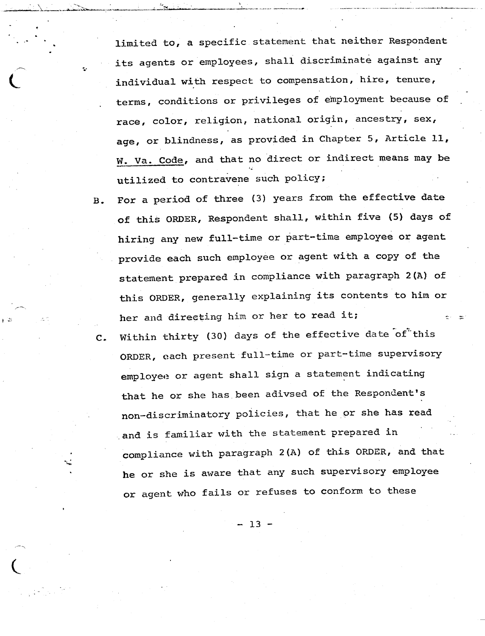limited to, a specific statement that neither Respondent its agents or employees, shall discriminate against any individual with respect to compensation, hire, tenure, terms, conditions or privileges of employment because of race, color, religion, national origin, ancestry, sex, age, or blindness, as provided in Chapter 5, Article 11, W. Va. Code, and that no direct or indirect means may be utilized to contravene such policy;

 $\begin{array}{ccc} \hline \hline \hline \hline \hline \hline \hline \hline \end{array}$ 

B. For a period of three (3) years from the effective date of this ORDER, Respondent shall, within five (5) days of hiring any new full-time or part-time employee or agent provide each such employee or agent with a copy of the statement prepared in compliance with paragraph 2(A) of this ORDER, generally explaining its contents to him or her and directing him or her to read it;

C. Within thirty (30) days of the effective date of this ORDER, each present full-time or part-time supervisory employee or agent shall sign a statement indicating that he or she has been adivsed of the Respondent's non-discriminatory policies, that he or she has read and is familiar with the statement prepared in compliance with paragraph 2(A) of this ORDER, and that he or she is aware that any such supervisory employee or agent who fails or refuses to conform to these

 $-13 -$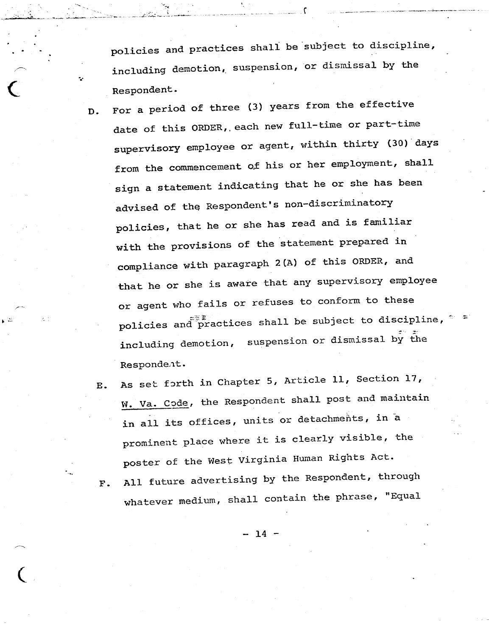policies and practices shall be subject to discipline, including demotion, suspension, or dismissal by the Respondent.

- For a period of three (3) years from the effective D. date of this ORDER, each new full-time or part-time supervisory employee or agent, within thirty (30) days from the commencement of his or her employment, shall sign a statement indicating that he or she has been advised of the Respondent's non-discriminatory policies, that he or she has read and is familiar with the provisions of the statement prepared in compliance with paragraph 2(A) of this ORDER, and that he or she is aware that any supervisory employee or agent who fails or refuses to conform to these policies and practices shall be subject to discipline, including demotion, suspension or dismissal by the Respondent.
	- As set forth in Chapter 5, Article 11, Section 17, **E.** W. Va. Code, the Respondent shall post and maintain in all its offices, units or detachments, in a prominent place where it is clearly visible, the poster of the West Virginia Human Rights Act. All future advertising by the Respondent, through  $F.$ whatever medium, shall contain the phrase, "Equal

 $-14$  -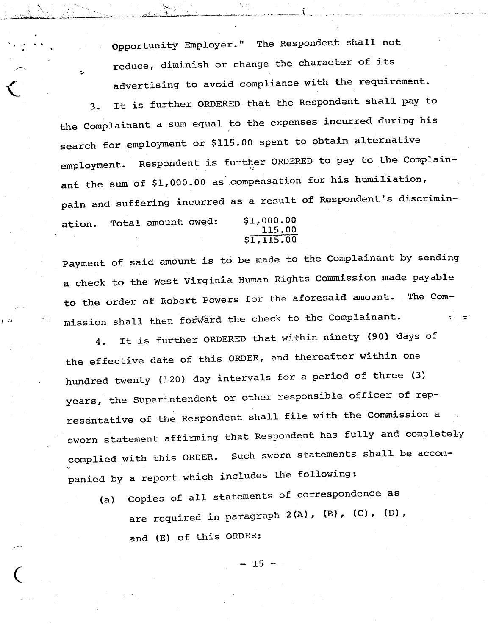Opportunity Employer." The Respondent shall not reduce, diminish or change the character of its advertising to avoid compliance with the requirement.

ċ,

3. It *is* further ORDERED that the Respondent shall pay to the Complainant a sum equal to the expenses incurred during his search for employment or \$115.00 spent to obtain alternative employment. Respondent is further ORDERED to pay to the Complainant the sum of \$1,000.00 as compensation for his humiliation, pain and suffering incurred as a result of Respondent's discrimin-Total amount owed: \$1,000.00 ation. 115.00

\$1,115.00

Payment of said amount *is* to be made to the Complainant by sending a check to the West Virginia Human Rights Commission made payable to the order of Robert Powers for the aforesaid amount. The  $Com$ mission shall then forward the check to the Complainant.

It is further ORDERED that within ninety (90) days of 4. the effective date of this ORDER, and thereafter within one hundred twenty ( $1.20$ ) day intervals for a period of three (3) years, the Superintendent or other responsible officer of representative of the Respondent shall file with the Commission a sworn statement affirming that Respondent has fully and completely complied with this ORDER. Such sworn statements shall be accompanied by a report which includes the following:

Copies of all statements of correspondence as  $(a)$ are required in paragraph 2 (A), {B), (C), (D), and (E) of this ORDER;

 $-15 -$